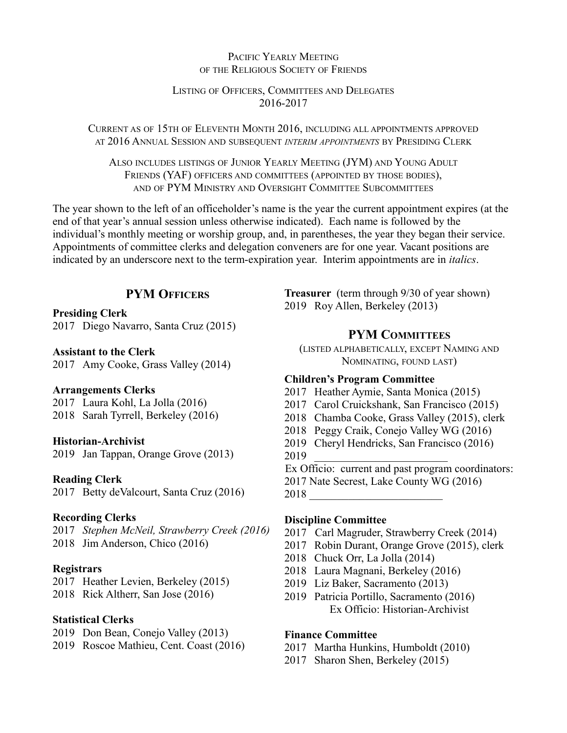## PACIFIC YEARLY MEETING OF THE RELIGIOUS SOCIETY OF FRIENDS

## LISTING OF OFFICERS, COMMITTEES AND DELEGATES 2016-2017

CURRENT AS OF 15TH OF ELEVENTH MONTH 2016, INCLUDING ALL APPOINTMENTS APPROVED AT 2016 ANNUAL SESSION AND SUBSEQUENT *INTERIM APPOINTMENTS* BY PRESIDING CLERK

ALSO INCLUDES LISTINGS OF JUNIOR YEARLY MEETING (JYM) AND YOUNG ADULT FRIENDS (YAF) OFFICERS AND COMMITTEES (APPOINTED BY THOSE BODIES), AND OF PYM MINISTRY AND OVERSIGHT COMMITTEE SUBCOMMITTEES

The year shown to the left of an officeholder's name is the year the current appointment expires (at the end of that year's annual session unless otherwise indicated). Each name is followed by the individual's monthly meeting or worship group, and, in parentheses, the year they began their service. Appointments of committee clerks and delegation conveners are for one year. Vacant positions are indicated by an underscore next to the term-expiration year. Interim appointments are in *italics*.

# **PYM OFFICERS**

## **Presiding Clerk**

2017 Diego Navarro, Santa Cruz (2015)

## **Assistant to the Clerk**

2017 Amy Cooke, Grass Valley (2014)

## **Arrangements Clerks**

2017 Laura Kohl, La Jolla (2016)

2018 Sarah Tyrrell, Berkeley (2016)

## **Historian-Archivist**

2019 Jan Tappan, Orange Grove (2013)

## **Reading Clerk**

2017 Betty deValcourt, Santa Cruz (2016)

## **Recording Clerks**

2017 *Stephen McNeil, Strawberry Creek (2016)* 2018 Jim Anderson, Chico (2016)

## **Registrars**

2017 Heather Levien, Berkeley (2015)

2018 Rick Altherr, San Jose (2016)

## **Statistical Clerks**

- 2019 Don Bean, Conejo Valley (2013)
- 2019 Roscoe Mathieu, Cent. Coast (2016)

**Treasurer** (term through 9/30 of year shown) 2019 Roy Allen, Berkeley (2013)

## **PYM COMMITTEES**

(LISTED ALPHABETICALLY, EXCEPT NAMING AND NOMINATING, FOUND LAST)

## **Children's Program Committee**

- 2017 Heather Aymie, Santa Monica (2015)
- 2017 Carol Cruickshank, San Francisco (2015)
- 2018 Chamba Cooke, Grass Valley (2015), clerk
- 2018 Peggy Craik, Conejo Valley WG (2016)
- 2019 Cheryl Hendricks, San Francisco (2016)
- 2019 \_\_\_\_\_\_\_\_\_\_\_\_\_\_\_\_\_\_\_\_\_\_\_\_
- Ex Officio: current and past program coordinators:
- 2017 Nate Secrest, Lake County WG (2016)
- 2018 \_\_\_\_\_\_\_\_\_\_\_\_\_\_\_\_\_\_\_\_\_\_\_\_

## **Discipline Committee**

- 2017 Carl Magruder, Strawberry Creek (2014)
- 2017 Robin Durant, Orange Grove (2015), clerk
- 2018 Chuck Orr, La Jolla (2014)
- 2018 Laura Magnani, Berkeley (2016)
- 2019 Liz Baker, Sacramento (2013)
- 2019 Patricia Portillo, Sacramento (2016) Ex Officio: Historian-Archivist

# **Finance Committee**

- 2017 Martha Hunkins, Humboldt (2010)
- 2017 Sharon Shen, Berkeley (2015)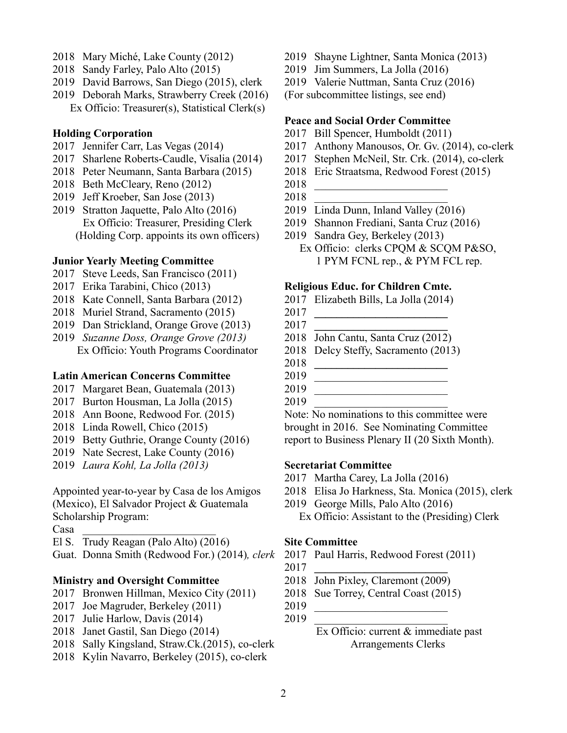- Mary Miché, Lake County (2012)
- Sandy Farley, Palo Alto (2015)
- David Barrows, San Diego (2015), clerk
- Deborah Marks, Strawberry Creek (2016) Ex Officio: Treasurer(s), Statistical Clerk(s)

### **Holding Corporation**

- 2017 Jennifer Carr, Las Vegas (2014)
- Sharlene Roberts-Caudle, Visalia (2014)
- Peter Neumann, Santa Barbara (2015)
- Beth McCleary, Reno (2012)
- Jeff Kroeber, San Jose (2013)
- Stratton Jaquette, Palo Alto (2016) Ex Officio: Treasurer, Presiding Clerk (Holding Corp. appoints its own officers)

### **Junior Yearly Meeting Committee**

- Steve Leeds, San Francisco (2011)
- Erika Tarabini, Chico (2013)
- Kate Connell, Santa Barbara (2012)
- Muriel Strand, Sacramento (2015)
- Dan Strickland, Orange Grove (2013)
- *Suzanne Doss, Orange Grove (2013)* Ex Officio: Youth Programs Coordinator

### **Latin American Concerns Committee**

- Margaret Bean, Guatemala (2013)
- Burton Housman, La Jolla (2015)
- Ann Boone, Redwood For. (2015)
- Linda Rowell, Chico (2015)
- Betty Guthrie, Orange County (2016)
- Nate Secrest, Lake County (2016)
- *Laura Kohl, La Jolla (2013)*

Appointed year-to-year by Casa de los Amigos (Mexico), El Salvador Project & Guatemala Scholarship Program:

Casa \_\_\_\_\_\_\_\_\_\_\_\_\_\_\_\_\_\_\_\_\_\_\_\_

- El S. Trudy Reagan (Palo Alto) (2016)
- Guat. Donna Smith (Redwood For.) (2014)*, clerk*

## **Ministry and Oversight Committee**

- 2017 Bronwen Hillman, Mexico City (2011)
- Joe Magruder, Berkeley (2011)
- Julie Harlow, Davis (2014)
- Janet Gastil, San Diego (2014)
- Sally Kingsland, Straw.Ck.(2015), co-clerk
- Kylin Navarro, Berkeley (2015), co-clerk
- Shayne Lightner, Santa Monica (2013)
- Jim Summers, La Jolla (2016)
- Valerie Nuttman, Santa Cruz (2016)

(For subcommittee listings, see end)

### **Peace and Social Order Committee**

- Bill Spencer, Humboldt (2011)
- Anthony Manousos, Or. Gv. (2014), co-clerk
- Stephen McNeil, Str. Crk. (2014), co-clerk
- Eric Straatsma, Redwood Forest (2015)
- \_\_\_\_\_\_\_\_\_\_\_\_\_\_\_\_\_\_\_\_\_\_\_\_
- \_\_\_\_\_\_\_\_\_\_\_\_\_\_\_\_\_\_\_\_\_\_\_\_
- Linda Dunn, Inland Valley (2016)
- Shannon Frediani, Santa Cruz (2016)
- Sandra Gey, Berkeley (2013)
	- Ex Officio: clerks CPQM & SCQM P&SO, 1 PYM FCNL rep., & PYM FCL rep.

### **Religious Educ. for Children Cmte.**

- Elizabeth Bills, La Jolla (2014)
- **\_\_\_\_\_\_\_\_\_\_\_\_\_\_\_\_\_\_\_\_\_\_\_\_**
- **\_\_\_\_\_\_\_\_\_\_\_\_\_\_\_\_\_\_\_\_\_\_\_\_**
- John Cantu, Santa Cruz (2012)
- Delcy Steffy, Sacramento (2013)
- **\_\_\_\_\_\_\_\_\_\_\_\_\_\_\_\_\_\_\_\_\_\_\_\_**
- \_\_\_\_\_\_\_\_\_\_\_\_\_\_\_\_\_\_\_\_\_\_\_\_
- \_\_\_\_\_\_\_\_\_\_\_\_\_\_\_\_\_\_\_\_\_\_\_\_
- \_\_\_\_\_\_\_\_\_\_\_\_\_\_\_\_\_\_\_\_\_\_\_\_

Note: No nominations to this committee were brought in 2016. See Nominating Committee report to Business Plenary II (20 Sixth Month).

### **Secretariat Committee**

- Martha Carey, La Jolla (2016)
- Elisa Jo Harkness, Sta. Monica (2015), clerk
- George Mills, Palo Alto (2016) Ex Officio: Assistant to the (Presiding) Clerk
	-

## **Site Committee**

- Paul Harris, Redwood Forest (2011)
- **\_\_\_\_\_\_\_\_\_\_\_\_\_\_\_\_\_\_\_\_\_\_\_\_**
- John Pixley, Claremont (2009)
- Sue Torrey, Central Coast (2015)
- \_\_\_\_\_\_\_\_\_\_\_\_\_\_\_\_\_\_\_\_\_\_\_\_ \_\_\_\_\_\_\_\_\_\_\_\_\_\_\_\_\_\_\_\_\_\_\_\_

## Ex Officio: current & immediate past Arrangements Clerks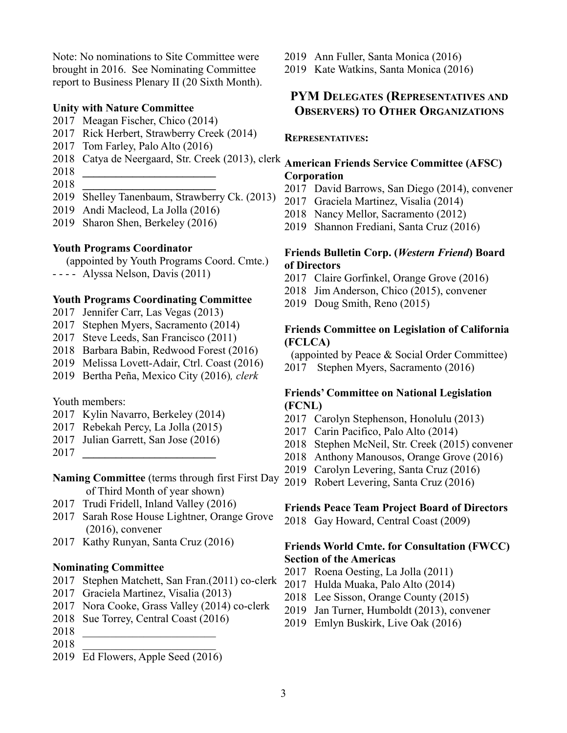Note: No nominations to Site Committee were brought in 2016. See Nominating Committee report to Business Plenary II (20 Sixth Month).

#### **Unity with Nature Committee**

- Meagan Fischer, Chico (2014)
- Rick Herbert, Strawberry Creek (2014)
- Tom Farley, Palo Alto (2016)
- Catya de Neergaard, Str. Creek (2013), clerk
- **\_\_\_\_\_\_\_\_\_\_\_\_\_\_\_\_\_\_\_\_\_\_\_\_**
- **\_\_\_\_\_\_\_\_\_\_\_\_\_\_\_\_\_\_\_\_\_\_\_\_**
- Shelley Tanenbaum, Strawberry Ck. (2013)
- Andi Macleod, La Jolla (2016)
- Sharon Shen, Berkeley (2016)

#### **Youth Programs Coordinator**

(appointed by Youth Programs Coord. Cmte.)

- - - - Alyssa Nelson, Davis (2011)

### **Youth Programs Coordinating Committee**

- Jennifer Carr, Las Vegas (2013)
- Stephen Myers, Sacramento (2014)
- Steve Leeds, San Francisco (2011)
- Barbara Babin, Redwood Forest (2016)
- Melissa Lovett-Adair, Ctrl. Coast (2016)
- Bertha Peña, Mexico City (2016)*, clerk*

### Youth members:

- Kylin Navarro, Berkeley (2014)
- Rebekah Percy, La Jolla (2015)
- Julian Garrett, San Jose (2016)
- **\_\_\_\_\_\_\_\_\_\_\_\_\_\_\_\_\_\_\_\_\_\_\_\_**
- **Naming Committee** (terms through first First Day of Third Month of year shown)
- Trudi Fridell, Inland Valley (2016)
- Sarah Rose House Lightner, Orange Grove (2016), convener
- Kathy Runyan, Santa Cruz (2016)

### **Nominating Committee**

- Stephen Matchett, San Fran.(2011) co-clerk
- Graciela Martinez, Visalia (2013)
- Nora Cooke, Grass Valley (2014) co-clerk
- Sue Torrey, Central Coast (2016)
- \_\_\_\_\_\_\_\_\_\_\_\_\_\_\_\_\_\_\_\_\_\_\_\_
- \_\_\_\_\_\_\_\_\_\_\_\_\_\_\_\_\_\_\_\_\_\_\_\_
- Ed Flowers, Apple Seed (2016)

Ann Fuller, Santa Monica (2016)

Kate Watkins, Santa Monica (2016)

## **PYM DELEGATES (REPRESENTATIVES AND OBSERVERS) TO OTHER ORGANIZATIONS**

#### **REPRESENTATIVES:**

## **American Friends Service Committee (AFSC) Corporation**

- David Barrows, San Diego (2014), convener
- Graciela Martinez, Visalia (2014)
- Nancy Mellor, Sacramento (2012)
- Shannon Frediani, Santa Cruz (2016)

## **Friends Bulletin Corp. (***Western Friend***) Board of Directors**

- Claire Gorfinkel, Orange Grove (2016)
- Jim Anderson, Chico (2015), convener
- Doug Smith, Reno (2015)

## **Friends Committee on Legislation of California (FCLCA)**

(appointed by Peace & Social Order Committee)

Stephen Myers, Sacramento (2016)

## **Friends' Committee on National Legislation (FCNL)**

- Carolyn Stephenson, Honolulu (2013)
- Carin Pacifico, Palo Alto (2014)
- Stephen McNeil, Str. Creek (2015) convener
- Anthony Manousos, Orange Grove (2016)
- Carolyn Levering, Santa Cruz (2016)
- Robert Levering, Santa Cruz (2016)

#### **Friends Peace Team Project Board of Directors**

Gay Howard, Central Coast (2009)

## **Friends World Cmte. for Consultation (FWCC) Section of the Americas**

- Roena Oesting, La Jolla (2011)
- Hulda Muaka, Palo Alto (2014)
- Lee Sisson, Orange County (2015)
- Jan Turner, Humboldt (2013), convener
- Emlyn Buskirk, Live Oak (2016)